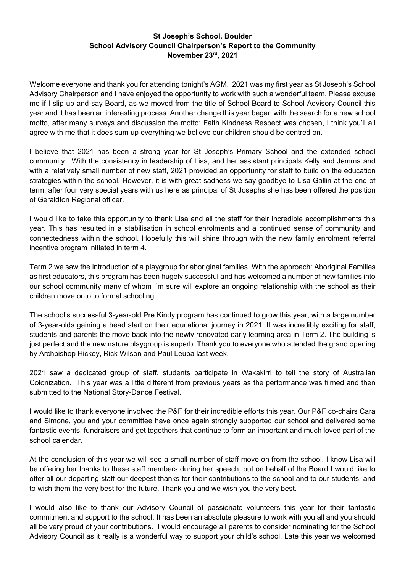## **St Joseph's School, Boulder School Advisory Council Chairperson's Report to the Community November 23rd, 2021**

Welcome everyone and thank you for attending tonight's AGM. 2021 was my first year as St Joseph's School Advisory Chairperson and I have enjoyed the opportunity to work with such a wonderful team. Please excuse me if I slip up and say Board, as we moved from the title of School Board to School Advisory Council this year and it has been an interesting process. Another change this year began with the search for a new school motto, after many surveys and discussion the motto: Faith Kindness Respect was chosen, I think you'll all agree with me that it does sum up everything we believe our children should be centred on.

I believe that 2021 has been a strong year for St Joseph's Primary School and the extended school community. With the consistency in leadership of Lisa, and her assistant principals Kelly and Jemma and with a relatively small number of new staff, 2021 provided an opportunity for staff to build on the education strategies within the school. However, it is with great sadness we say goodbye to Lisa Gallin at the end of term, after four very special years with us here as principal of St Josephs she has been offered the position of Geraldton Regional officer.

I would like to take this opportunity to thank Lisa and all the staff for their incredible accomplishments this year. This has resulted in a stabilisation in school enrolments and a continued sense of community and connectedness within the school. Hopefully this will shine through with the new family enrolment referral incentive program initiated in term 4.

Term 2 we saw the introduction of a playgroup for aboriginal families. With the approach: Aboriginal Families as first educators, this program has been hugely successful and has welcomed a number of new families into our school community many of whom I'm sure will explore an ongoing relationship with the school as their children move onto to formal schooling.

The school's successful 3-year-old Pre Kindy program has continued to grow this year; with a large number of 3-year-olds gaining a head start on their educational journey in 2021. It was incredibly exciting for staff, students and parents the move back into the newly renovated early learning area in Term 2. The building is just perfect and the new nature playgroup is superb. Thank you to everyone who attended the grand opening by Archbishop Hickey, Rick Wilson and Paul Leuba last week.

2021 saw a dedicated group of staff, students participate in Wakakirri to tell the story of Australian Colonization. This year was a little different from previous years as the performance was filmed and then submitted to the National Story-Dance Festival.

I would like to thank everyone involved the P&F for their incredible efforts this year. Our P&F co-chairs Cara and Simone, you and your committee have once again strongly supported our school and delivered some fantastic events, fundraisers and get togethers that continue to form an important and much loved part of the school calendar.

At the conclusion of this year we will see a small number of staff move on from the school. I know Lisa will be offering her thanks to these staff members during her speech, but on behalf of the Board I would like to offer all our departing staff our deepest thanks for their contributions to the school and to our students, and to wish them the very best for the future. Thank you and we wish you the very best.

I would also like to thank our Advisory Council of passionate volunteers this year for their fantastic commitment and support to the school. It has been an absolute pleasure to work with you all and you should all be very proud of your contributions. I would encourage all parents to consider nominating for the School Advisory Council as it really is a wonderful way to support your child's school. Late this year we welcomed